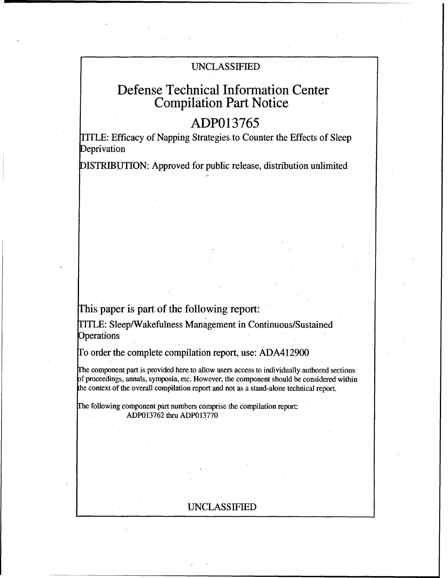## **UNCLASSIFIED**

# Defense Technical Information Center Compilation Part Notice

# **ADP013765**

ITLE: Efficacy of Napping Strategies to Counter the Effects of Sleep Deprivation

ISTRIBUTION: Approved for public release, distribution unlimited

## This paper is part of the following report:

TITLE: Sleep/Wakefulness Management in Continuous/Sustained **Operations** 

To order the complete compilation report, use: ADA412900

Ihe component part is provided here to allow users access to individually authored sections f proceedings, annals, symposia, etc. However, the component should be considered within the context of the overall compilation report and not as a stand-alone technical report.

Fhe following component part numbers comprise the compilation report: ADP013762 thru ADP013770

## UNCLASSIFIED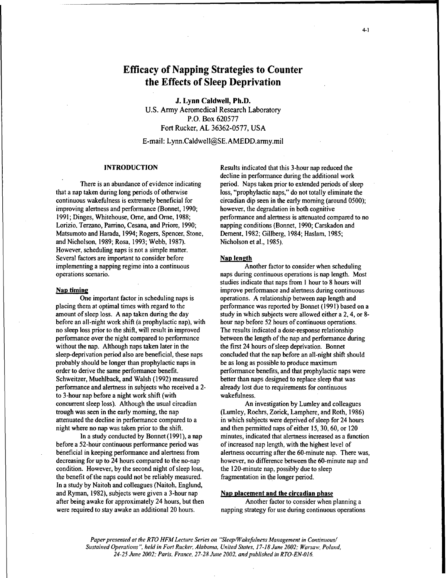## Efficacy of Napping Strategies to Counter the Effects of Sleep Deprivation

**J.** Lynn Caldwell, Ph.D. U.S. Army Aeromedical Research Laboratory P.O. Box 620577 Fort Rucker, AL 36362-0577, USA

E-mail: Lynn.Caldwell@SE.AMEDD.army.mil

that a nap taken during long periods of otherwise loss, "prophylactic naps," do not totally eliminate the continuous wakefulness is extremely beneficial for circadian dip seen in the early morning (around 0500); improving alertness and performance (Bonnet, 1990; however, the degradation in both cognitive Lorizio, Terzano, Parrino, Cesana, and Priore. 1990; napping conditions (Bonnet, 1990; Carskadon and Matsumoto and Harada, 1994; Rogers, Spencer, Stone, Dement, 1982; Gillberg, 1984; Haslam, 1985; and Nicholson, 1989; Rosa, 1993; Webb, 1987). Nicholson et al., 1985). However, scheduling naps is not a simple matter. Several factors are important to consider before Nap length implementing a napping regime into a continuous Another factor to consider when scheduling operations scenario. naps during continuous operations is nap length. Most

placing them at optimal times with regard to the performance was reported by Bonnet (1991) based on a amount of sleep loss. A nap taken during the day study in which subjects were allowed either a 2, 4, or 8before an all-night work shift (a prophylactic nap), with hour nap before 52 hours of continuous operations. no sleep loss prior to the shift, will result in improved The results indicated a dose-response relationship performance over the night compared to performance between the length of the nap and performance during without the nap. Although naps taken later in the the first 24 hours of sleep deprivation. Bonnet sleep-deprivation period also are beneficial, these naps concluded that the nap before an all-night shift should probably should be longer than prophylactic naps in be as long as possible to produce maximum order to derive the same performance benefit, performance benefits, and that prophylactic naps were Schweitzer, Muehlback, and Walsh (1992) measured better than naps designed to replace sleep that was performance and alertness in subjects who received a 2- already lost due to requirements for continuous to 3-hour nap before a night work shift (with wakefulness. concurrent sleep loss). Although the usual circadian An investigation by Lumley and colleagues trough was seen in the early morning, the nap (Lumley, Roehrs, Zorick, Lamphere, and Roth, 1986) attenuated the decline in performance compared to a in which subjects were deprived of sleep for 24 hours night where no nap was taken prior to the shift. and then permitted naps of either 15, 30, 60, or 120

before a 52-hour continuous performance period was of increased nap length, with the highest level of beneficial in keeping performance and alertness from alertness occurring after the 60-minute nap. There was, decreasing for up to 24 hours compared to the no-nap however, no difference between the 60-minute nap and condition. However, by the second night of sleep loss, the 120-minute nap, possibly due to sleep the benefit of the naps could not be reliably measured. fragmentation in the longer period. In a study by Naitoh and colleagues (Naitoh, Englund, and Ryman, 1982), subjects were given a 3-hour nap Nap placement and the circadian phase after being awake for approximately 24 hours, but then Another factor to consider when planning a

INTRODUCTION Results indicated that this 3-hour nap reduced the decline in performance during the additional work There is an abundance of evidence indicating period. Naps taken prior to extended periods of sleep 1991; Dinges, Whitehouse. Orne, and Ome, 1988; performance and alertness is attenuated compared to no

studies indicate that naps from 1 hour to 8 hours will Nap timing improve performance and alertness during continuous One important factor in scheduling naps is operations. A relationship between nap length and

In a study conducted by Bonnet (1991), a nap minutes, indicated that alertness increased as a function

were required to stay awake an additional 20 hours. napping strategy for use during continuous operations

*Paper presented at the RTO HFM Lecture Series on "Sleep/Wakefulness Management in Continuous! Sustained Operations* ". held *in Fort Rucker, Alabama. United States. 17-18 June 2002: Warsaw, Poland, 24-25 June 2002; Paris, France. 27-28 June 2002. and published in RTO-EN-016.*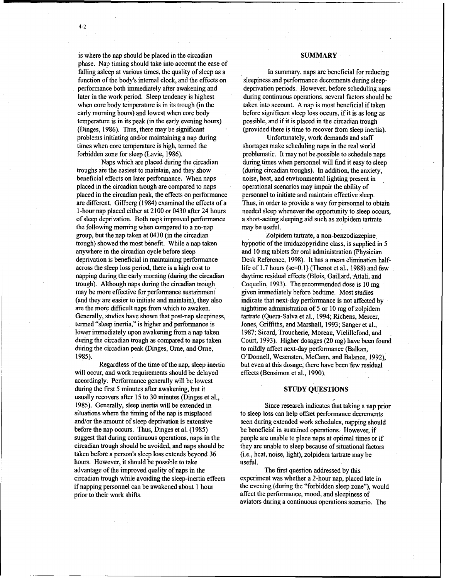is where the nap should be placed in the circadian SUMMARY phase. Nap timing should take into account the ease of falling asleep at various times, the quality of sleep as a In summary, naps are beneficial for reducing function of the body's internal clock, and the effects on sleepiness and performance decrements during sleepfunction of the body's internal clock, and the effects on performance both immediately after awakening and performance both immediately after awakening and deprivation periods. However, before scheduling naps<br>
later in the work period. Sleep tendency is highest during continuous operations, several factors should be when core body temperature is in its trough (in the taken into account. A nap is most beneficial if taken early morning hours) and lowest when core body before significant sleep loss occurs, if it is as long as temperature is in its peak (in the early evening hours) possible, and if it is placed in the circadian trough (Dinges, 1986). Thus, there may be significant (provided there is time to recover from sleep inertia). problems initiating and/or maintaining a nap during Unfortunately, work demands and staff times when core temperature is high, termed the shortages make scheduling naps in the real world forbidden zone for sleep (Lavie, 1986). **problematic.** It may not be possible to schedule naps

troughs are the easiest to maintain, and they show (during circadian troughs). In addition, the anxiety, beneficial effects on later performance, When naps noise, heat, and environmental lighting present in placed in the circadian trough are compared to naps operational scenarios may impair the ability of placed in the circadian peak, the effects on performance personnel to initiate and maintain effective sleep. are different. Gillberg (1984) examined the effects of a Thus, in order to provide a way for personnel to obtain 1-hour nap placed either at 2100 or 0430 after 24 hours needed sleep whenever the opportunity to sleep occurs of sleep deprivation. Both naps improved performance a short-acting sleeping aid such as zolpidem tartrate the following morning when compared to a no-nap may be useful. group, but the nap taken at 0430 (in the circadian Zolpidem tartrate, a non-benzodiazepine. trough) showed the most benefit. While a nap taken hypnotic of the imidazopyridine class, is supplied in 5 anywhere in the circadian cycle before sleep and 10 mg tablets for oral administration (Physician deprivation is beneficial in maintaining performance Desk Reference, 1998). It has a mean elimination halfacross the sleep loss period, there is a high cost to life of 1.7 hours (se=0.1) (Thenot et al., 1988) and few napping during the early morning (during the circadian daytime residual effects (Blois, Gaillard, Attali, and trough). Although naps during the circadian trough Coquelin, 1993). The recommended dose is 10 mg may be more effective for performance sustainment given immediately before bedtime. Most studies (and they are easier to initiate and maintain), they also indicate that next-day performance is not affected by are the more difficult naps from which to awaken. nighttime administration of 5 or 10 mg of zolpidem Generally, studies have shown that post-nap sleepiness, tartrate (Quera-Salva et al., 1994; Richens, Mercer, termed "sleep inertia," is higher and performance is Jones, Griffiths, and Marshall, 1993; Sanger et al., lower immediately upon awakening from a nap taken 1987; Sicard, Troucherie, Moreau, Vielillefond, and during the circadian trough as compared to naps taken Court, 1993). Higher dosages (20 mg) have been found during the circadian peak (Dinges, Orne, and Orne, to mildly affect next-day performance (Balkan,

will occur, and work requirements should be delayed effects (Bensimon et al., 1990). accordingly. Performance generally will be lowest during the first 5 minutes after awakening, but it STUDY QUESTIONS usually recovers after 15 to 30 minutes (Dinges et al., 1985). Generally, sleep inertia will be extended in Since research indicates that taking a nap prior situations where the timing of the nap is misplaced to sleep loss can help offset performance decrements and/or the amount of sleep deprivation is extensive seen during extended work schedules, napping should before the nap occurs. Thus, Dinges et al. (1985) be beneficial in sustained operations. However, if suggest that during continuous operations, naps in the people are unable to place naps at optimal times or if circadian trough should be avoided, and naps should be they are unable to sleep because of situational factors taken before a person's sleep loss extends beyond 36 (i.e., heat, noise, light), zolpidem tartrate may be hours. However, it should be possible to take useful. advantage of the improved quality of naps in the The First question addressed by this circadian trough while avoiding the sleep-inertia effects experiment was whether a 2-hour nap, placed late in if napping personnel can be awakened about 1 hour the evening (during the "forbidden sleep zone"), would prior to their work shifts, affect the performance, mood, and sleepiness of

during continuous operations, several factors should be

Naps which are placed during the circadian during times when personnel will find it easy to sleep needed sleep whenever the opportunity to sleep occurs,

1985). O'Donnell, Wesensten, McCann, and Balance, 1992), Regardless of the time of the nap, sleep inertia but even at this dosage, there have been few residual

aviators during a continuous operations scenario. The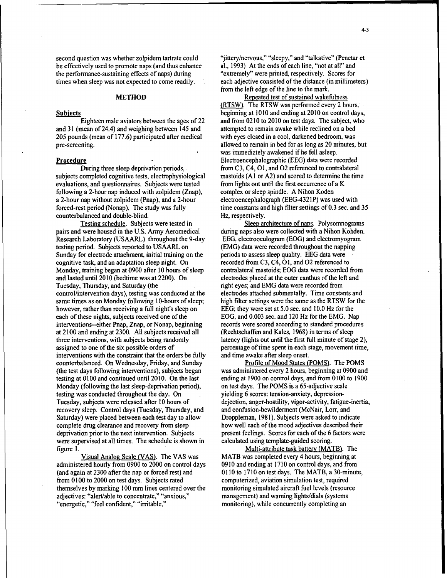be effectively used to promote naps (and thus enhance al., 1993) At the ends of each line, "not at all" and the performance-sustaining effects of naps) during "extremely" were printed, respectively. Scores for the performance-sustaining effects of naps) during

and 31 (mean of 24.4) and weighing between 145 and attempted to remain awake while reclined on a bed 205 pounds (mean of 177.6) participated after medical with eyes closed in a cool, darkened bedroom, was pre-screening. allowed to remain in bed for as long as 20 minutes, but

subjects completed cognitive tests, electrophysiological mastoids (A1 or A2) and scored to determine the time evaluations, and questionnaires. Subjects were tested from lights out until the first occurrence of a K evaluations, and questionnaires. Subjects were tested following a 2-hour nap induced with zolpidem (Znap), complex or sleep spindle. A Nihon Koden<br>
a 2-hour nap without zolpidem (Pnap), and a 2-hour electroencephalograph (EEG-4321P) was used with a 2-hour nap without zolpidem (Pnap), and a 2-hour forced-rest period (Nonap). The study was fully time constants and high filter settings of 0.3 sec. and 35 counterbalanced and double-blind. Hz, respectively.

pairs and were housed in the U.S. Army Aeromedical Research Laboratory (USAARL) throughout the 9-day EEG, electrooculograrn (EOG) and electromyogram testing period. Subjects reported to USAARL on (EMG) data were recorded throughout the napping Sunday for electrode attachment, initial training on the periods to assess sleep quality. EEG data were cognitive task, and an adaptation sleep night. On recorded from C3, C4, **01,** and 02 referenced to Monday, training began at 0900 after 10 hours of sleep contralateral mastoids; EOG data were recorded from and lasted until 2010 (bedtime was at 2200). On electrodes placed at the outer canthus of the left and Tuesday, Thursday, and Saturday (the right eyes; and EMG data were recorded from control/intervention days), testing was conducted at the electrodes attached submentally. Time constants and same times as on Monday following 10-hours of sleep; high filter settings were the same as the RTSW for the however, rather than receiving a full night's sleep on EEG; they were set at 5.0 sec. and 10.0 Hz for the each of these nights, subjects received one of the EOG, and 0.003 sec. and 120 Hz for the EMG. Nap interventions--either Pnap, Znap, or Nonap, beginning records were scored according to standard procedures at 2100 and ending at 2300. All subjects received all (Rechtschaffen and Kales, 1968) in terms of sleep three interventions, with subjects being randomly latency (lights out until the first full minute of stage 2), assigned to one of the six possible orders of percentage of time spent in each stage, movement time, interventions with the constraint that the orders be fully and time awake after sleep onset. counterbalanced. On Wednesday, Friday, and Sunday Profile of Mood States (POMS). The POMS (the test days following interventions), subjects began was administered every 2 hours, beginning at 0900 and testing at 0100 and continued until 2010. On the last ending at 1900 on control days, and from 0100 to 1900 Monday (following the last sleep-deprivation period), on test days. The POMS is a 65-adjective scale testing was conducted throughout the day. On yielding 6 scores: tension-anxiety, depression-Tuesday, subjects were released after 10 hours of dejection, anger-hostility, vigor-activity, fatigue-inertia, recovery sleep. Control days (Tuesday, Thursday, and and confusion-bewilderment (McNair, Lorr, and Saturday) were placed between each test day to allow Droppleman, 198 **1).** Subjects were asked to indicate complete drug clearance and recovery from sleep how well each of the mood adjectives described their deprivation prior to the next intervention. Subjects present feelings. Scores for each of the 6 factors were were supervised at all times. The schedule is shown in calculated using template-guided scoring. figure 1. Multi-attribute task batten' (MATB). The

administered hourly from 0900 to 2000 on control days 0910 and ending at 1710 on control days, and from (and again at 2300 after the nap or forced rest) and 0110 to 1710 on test days. The MATB, a 30-minute, from 0100 to 2000 on test days. Subjects rated computerized, aviation simulation test, required themselves by marking 100 mm lines centered over the monitoring simulated aircraft fuel levels (resource adjectives: "alert/able to concentrate," "anxious," management) and warning lights/dials (systems "energetic," "feel confident," "irritable," monitoring), while concurrently completing an

second question was whether zolpidem tartrate could "jittery/nervous," "sleepy," and "talkative" (Penetar et be effectively used to promote naps (and thus enhance al., 1993) At the ends of each line, "not at all" and times when sleep was not expected to come readily. each adjective consisted of the distance (in millimeters) from the left edge of the line to the mark.

METHOD Repeated test of sustained wakefulness (RTSW). The RTSW was performed every 2 hours, Subjects beginning at 1010 and ending at 2010 on control days, Eighteen male aviators between the ages of 22 and from 0210 to 2010 on test days. The subject, who was immediately awakened if he fell asleep. Procedure<br>
During three sleep deprivation periods.<br>
From C3, C4, O1, and O2 referenced to contralatera from C3, C4, O1, and O2 referenced to contralateral

Testing schedule. Subjects were tested in Sleep architecture of naps. Polysomnograms<br>I were housed in the U.S. Army Aeromedical during naps also were collected with a Nihon Kohden.

Visual Analog Scale (VAS). The VAS was MATB was completed every 4 hours, beginning at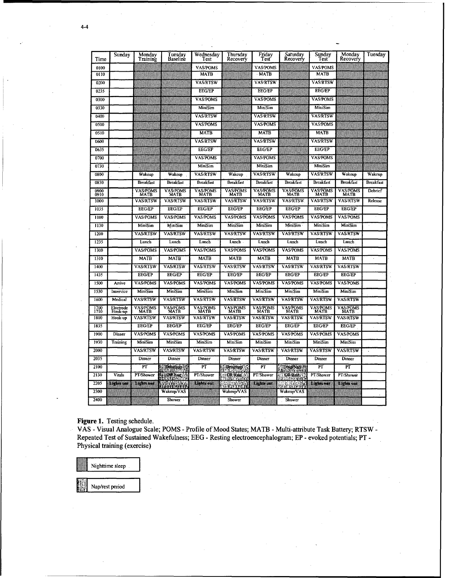| Time         | Sunday               | Monday<br>Training      | Tuesday<br>Baseline     | Wednesday<br>Test       | Thursday<br>Recovery     | Friday<br>Test          | Saturday<br>Recovery | Sunday<br>Test          | Monday<br>Recovery             | Tuesday          |
|--------------|----------------------|-------------------------|-------------------------|-------------------------|--------------------------|-------------------------|----------------------|-------------------------|--------------------------------|------------------|
| 0100         |                      |                         |                         | <b>VAS/POMS</b>         |                          | <b>VAS/POMS</b>         |                      | <b>VAS/POMS</b>         |                                |                  |
| 0110         |                      |                         |                         | <b>MATB</b>             |                          | · MATB                  |                      | <b>MATB</b>             |                                |                  |
| 0200         |                      |                         |                         | VAS/RTSW                |                          | <b>VAS/RTSW</b>         |                      | VAS/RTSW                |                                |                  |
| 0235         |                      |                         |                         | <b>EEG/EP</b>           |                          | <b>EEG/EP</b>           |                      | <b>EEG/EP</b>           |                                |                  |
| 0300         |                      |                         |                         | <b>VAS/POMS</b>         |                          | <b>VAS/POMS</b>         |                      | <b>VAS/POMS</b>         |                                |                  |
| 0330         |                      |                         |                         | MiniSim                 |                          | MiniSim                 |                      | MiniSim                 |                                |                  |
| 0400         |                      |                         |                         | <b>VAS/RTSW</b>         |                          | VAS/RTSW                |                      | <b>VAS/RTSW</b>         |                                |                  |
| 0500         |                      |                         |                         | <b>VAS/POMS</b>         |                          | <b>VAS/POMS</b>         |                      | VAS/POMS                |                                |                  |
| .0510        |                      |                         |                         | <b>MATB</b>             |                          | <b>MATB</b>             |                      | <b>MATB</b>             |                                |                  |
| 0600         |                      |                         |                         | VAS/RTSW                |                          | <b>VAS/RTSW</b>         |                      | <b>VAS/RTSW</b>         |                                |                  |
| 0635         |                      |                         |                         | <b>EEG/EP</b>           |                          | <b>EEG/EP</b>           |                      | <b>EEG/EP</b>           |                                |                  |
| 0700         |                      |                         |                         | <b>VAS/POMS</b>         |                          | <b>VAS/POMS</b>         |                      | <b>VAS/POMS</b>         |                                |                  |
| 0730         |                      |                         |                         | MiniSim                 |                          | MiniSim                 |                      | MiniSim                 |                                |                  |
| 0800         |                      | Wakcup                  | Wakcup                  | <b>VAS/RTSW</b>         | Wakcup                   | <b>VAS/RTSW</b>         | Wakcup               | <b>VAS/RTSW</b>         | Wakcup                         | <b>Wakcup</b>    |
| 0830         |                      | <b>Breakfast</b>        | <b>Breakfast</b>        | <b>Breakfast</b>        | <b>Breakfast</b>         | <b>Breakfast</b>        | <b>Breakfast</b>     | <b>Breakfast</b>        | <b>Breakfast</b>               | <b>Breakfast</b> |
| 0900<br>0910 |                      | <b>VAS/POMS</b><br>MATB | <b>VAS/POMS</b><br>MATB | <b>VAS/POMS</b><br>MATB | <b>VAS/POMS</b><br>MATB  | VAS/POMS<br>MATB        | <b>VAS/POMS</b>      | <b>VAS/POMS</b><br>MATB | <b>VAS/POMS</b><br>MATB        | Debrief          |
| 1000         |                      | <b>VAS/RTSW</b>         | <b>VAS/RTSW</b>         | <b>VAS/RTSW</b>         | <b>VAS/RTSW</b>          | <b>VAS/RTSW</b>         | <b>VAS/RTSW</b>      | <b>VAS/RTSW</b>         | <b>VAS/RTSW</b>                | Release          |
| 1035         |                      | <b>EEG/EP</b>           | <b>EEG/EP</b>           | <b>EEG/EP</b>           | <b>EEG/EP</b>            | <b>EEG/EP</b>           | <b>EEG/EP</b>        | <b>EEG/EP</b>           | <b>EEG/EP</b>                  |                  |
| 1100         |                      | <b>VAS/POMS</b>         | <b>VAS/POMS</b>         | <b>VAS/POMS</b>         | <b>VAS/POMS</b>          | <b>VAS/POMS</b>         | <b>VAS/POMS</b>      | <b>VAS/POMS</b>         | <b>VAS/POMS</b>                |                  |
| 1130         |                      | MiniSim                 | MiniSim                 | MiniSim                 | MiniSim                  | MiniSim                 | MiniSim              | MiniSim                 | MiniSim                        |                  |
| 1200         |                      | <b>VAS/RTSW</b>         | <b>VAS/RTSW</b>         | <b>VAS/RTSW</b>         | <b>VAS/RTSW</b>          | <b>VAS/RTSW</b>         | <b>VAS/RTSW</b>      | <b>VAS/RTSW</b>         | <b>VAS/RTSW</b>                |                  |
| 1235         |                      | Lunch                   | Lunch                   | Lunch                   | Lunch                    | Lunch                   | Lunch                | Lunch                   | Lunch                          |                  |
| 1300         |                      | <b>VAS/POMS</b>         | <b>VAS/POMS</b>         | <b>VAS/POMS</b>         | <b>VAS/POMS</b>          | <b>VAS/POMS</b>         | <b>VASPOMS</b>       | <b>VAS/POMS</b>         | <b>VAS/POMS</b>                |                  |
| 1310         |                      | <b>MATB</b>             | <b>MATB</b>             | <b>MATB</b>             | <b>MATB</b>              | <b>MATB</b>             | <b>MATB</b>          | <b>MATB</b>             | <b>MATB</b>                    |                  |
| 1400         |                      | <b>VAS/RTSW</b>         | <b>VAS/RTSW</b>         | <b>VAS/RTSW</b>         | <b>VAS/RTSW</b>          | <b>VAS/RTSW</b>         | <b>VAS/RTSW</b>      | <b>VAS/RTSW</b>         | <b>VAS/RTSW</b>                |                  |
| 1435         |                      | <b>EEG/EP</b>           | <b>EEG/EP</b>           | <b>EEG/EP</b>           | <b>EEG/EP</b>            | <b>EEG/EP</b>           | <b>EEG/EP</b>        | <b>EEG/EP</b>           | <b>EEG/EP</b>                  |                  |
| 1500         | Arrive               | <b>VAS/POMS</b>         | <b>VAS/POMS</b>         | <b>VAS/POMS</b>         | <b>VAS/POMS</b>          | <b>VAS/POMS</b>         | <b>VAS/POMS</b>      | <b>VAS/POMS</b>         | <b>VAS/POMS</b>                |                  |
| 1530         | Inservice            | MiniSim                 | MiniSim                 | MiniSim                 | MiniSim                  | MiniSim                 | MiniSim              | MiniSim                 | MiniSim                        |                  |
| 1600         | Medical              | <b>VAS/RTSW</b>         | <b>VAS/RTSW</b>         | <b>VAS/RTSW</b>         | <b>VAS/RTSW</b>          | <b>VAS/RTSW</b>         | <b>VAS/RTSW</b>      | <b>VAS/RTSW</b>         | <b>VAS/RTSW</b>                |                  |
| 1700<br>iżĭŏ | Electrode<br>Hook-up | <b>VAS/POMS</b><br>MATB | <b>VAS/POMS</b><br>MATB | <b>VAS/POMS</b><br>MATB | <b>VAS/POMS</b><br>MATB  | <b>VAS/POMS</b><br>MATB | VAS/POMS<br>MATB     | <b>VAS/POMS</b><br>MATB | <b>VAS/POMS</b><br><b>MATB</b> |                  |
| 1800         | Hook-up              | <b>VAS/RTSW</b>         | <b>VAS/RTSW</b>         | <b>VAS/RTSW</b>         | <b>VAS/RTSW</b>          | <b>VAS/RTSW</b>         | <b>VAS/RTSW</b>      | <b>VAS/RTSW</b>         | <b>VAS/RTSW</b>                |                  |
| 1835         |                      | <b>EEG/EP</b>           | <b>EEG/EP</b>           | <b>EEG/EP</b>           | <b>EEG/EP</b>            | <b>EEG/EP</b>           | <b>EEG/EP</b>        | <b>EEG/EP</b>           | <b>EEG/EP</b>                  |                  |
| 1900         | Dinner               | <b>VAS/POMS</b>         | VAS/POMS                | <b>VAS/POMS</b>         | <b>VAS/POMS</b>          | <b>VAS/POMS</b>         | <b>VAS/POMS</b>      | <b>VAS/POMS</b>         | <b>VAS/POMS</b>                |                  |
| 1930         | Training             | MiniSim                 | MiniSim                 | MiniSim                 | MiniSim                  | MiniSim                 | MiniSim              | MiniSim                 | MiniSim                        |                  |
| 2000         |                      | <b>VAS/RTSW</b>         | <b>VAS/RTSW</b>         | <b>VAS/RTSW</b>         | <b>VAS/RTSW</b>          | <b>VAS/RTSW</b>         | <b>VAS/RTSW</b>      | <b>VAS/RTSW</b>         | <b>VAS/RTSW</b>                |                  |
| 2035         |                      | Dinner                  | Dinner                  | Dinner                  | Dinner                   | Dinner                  | Dinner               | Dinner                  | Dinner                         |                  |
| 2100         |                      | PТ                      | <b>Drogoan</b>          | РT                      | Druginap                 | PT                      | Drup Nap             | PT                      | PŦ                             |                  |
| 2130         | Vitals               | PT/Shower               | <b>FRONT Read</b>       | PT/Shower               | <b>GR</b> Rest           | PT/Shower               | <b>OR Rest</b>       | PT/Shower               | PT/Shower                      |                  |
| 2205         | a kasance a Tanzania |                         | AM AN                   | <u>sia sisilikko</u>    | Waliofarika <sup>1</sup> | <u>Mark Mille</u>       | al North             | sin <del>a k</del> ulu  | NASA KAL                       |                  |
| 2300         |                      |                         | Wakeup/VAS              |                         | Wakeup/VAS               |                         | Wakeup/VAS           |                         |                                |                  |
| 2400         |                      |                         | Shower                  |                         | Shower                   |                         | Shower               |                         |                                |                  |

Figure 1. Testing schedule.

VAS - Visual Analogue Scale; POMS - Profile of Mood States; MATB - Multi-attribute Task Battery; RTSW -Repeated Test of Sustained Wakefulness; EEG - Resting electroencephalogram; EP - evoked potentials; PT -Physical training (exercise)

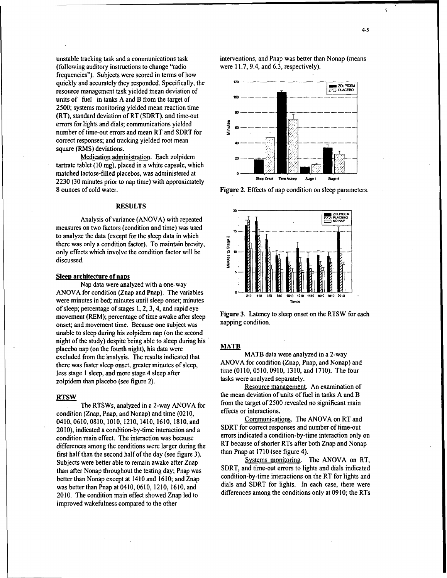$\overline{\mathbf{S}}$ 

(following auditory instructions to change "radio frequencies"). Subjects were scored in terms of how quickly and accurately they responded. Specifically, the **120 120 120 120 120 120 120 120 120 120 120 120 120 120 120 120 120 120 120 120 120 120 120 120 120 120 120 12** resource management task yielded mean deviation of units of fuel in tanks A and B from the target of 2500; systems monitoring yielded mean reaction time (RT), standard deviation of RT (SDRT), and time-out errors for lights and dials; communications yielded number of time-out errors and mean RT and SDRT for correct responses; and tracking yielded root mean square (RMS) deviations.

**Medication administration.** Each zolpidem tartrate tablet (10 mg), placed in a white capsule, which matched lactose-filled placebos, was administered at 2230 (30 minutes prior to nap time) with approximately 8 ounces of cold water. The same state of nap condition on sleep parameters.

measures on two factors (condition and time) was used to analyze the data (except for the sleep data in which there was only a condition factor). To maintain brevity, there was only a condition factor). To maintain brevity,<br>
only effects which involve the condition factor will be<br>
discussed. discussed.

### Sleep architecture of naps

Nap data were analyzed with a one-way ANOVA for condition (Znap and Pnap). The variables were minutes in bed; minutes until sleep onset; minutes of sleep; percentage of stages 1, 2, 3, 4, and rapid eye movement (REM); percentage of time awake after sleep Figure 3. Latency to sleep onset on the RTSW for each movement (REM); percentage of time awake after sleep Figure 3. Latency to sleep onset on the RTSW for each negotial onset; and movement time. Because one subject was unable to sleep during his zolpidem nap (on the second night of the study) despite being able to sleep during his " placebo nap (on the fourth night), his data were **MATB** excluded from the analysis. The results indicated that MATB data were analyzed in a 2-way<br>there was faster sleep onset, greater minutes of sleep ANOVA for condition (Znap, Pnap, and Nonap) and there was faster sleep onset, greater minutes of sleep,<br>less stage 1 sleep, and more stage 4 sleep after three (0110, 0510, 0910, 1310, and 1710). The four less stage 1 sleep, and more stage 4 sleep after the time (0110, 0510, 0910, 1310, and 1710, 1710). The fourzolpidem than placebo (see figure 2).

condition (Znap, Pnap, and Nonap) and time  $(0.210,$  effects or interactions.<br>0410 0610 0810 1010 1210 1410 1610 1810 and **Communications**. The ANOVA on RT and 0410, 0610, 0810, 1010, 1210, 1410, 1610, 1810, and<br>2010) indicated a condition-by-time interaction and a SDRT for correct responses and number of time-out 2010), indicated a condition-by-time interaction and a SDRT for correct responses and number of time-out condition main effect. The interaction was because condition main effect. The interaction was because<br>differences among the conditions were larger during the RT because of shorter RTs after both Znap and Nonap differences among the conditions were larger during the RT because of shorter RTs after both  $\frac{R}{\text{first half than the second half of the day (see figure 4)}}$ first half than the second half of the day (see figure 3). The day of the day of see figure 3). Systems monitoring. The ANOVA on RT, better than Nonap except at 1410 and 1610; and Znap 2010. The condition main effect showed Znap led to differences among the conditions only at 0910; the RTs improved wakefulness compared to the other

unstable tracking task and a communications task interventions, and Pnap was better than Nonap (means (following auditory instructions to change "radio were 11.7, 9.4, and 6.3, respectively).





Resource management. An examination of RTSW the mean deviation of units of fuel in tanks A and B The RTSWs, analyzed in a 2-way ANOVA for from the target of 2500 revealed no significant main<br> $\frac{1}{2}$ <br> $\frac{1}{2}$ 

Subjects were better able to remain awake after Znap<br>than after Nonan throughout the testing day: Pnan was SDRT, and time-out errors to lights and dials indicated than after Nonap throughout the testing day; Pnap was SDRT, and time-out errors to lights and dials indicated<br>hetter than Nonap except at 1410 and 1610; and Znap condition-by-time interactions on the RT for lights and was better than Pnap at 0410, 0610, 1210, 1610, and dials and SDRT for lights. In each case, there were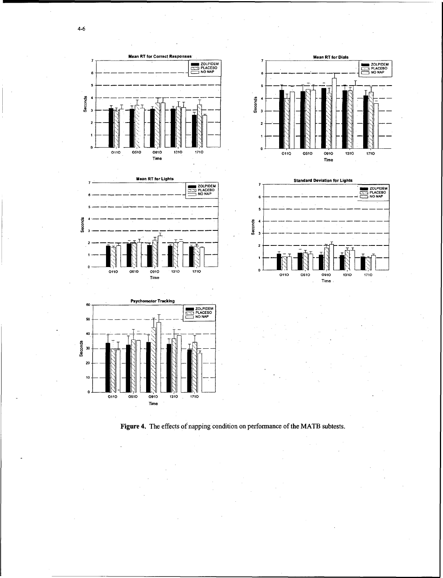

**Seconds** 

 $\mathbf{0}$ 

 $|\mathbb{N}|$ 

0110

0510



**Mean RT for Lights** 

0910

**EXAMPLE 20LPIDEM**<br>
SAN PLACEBO<br>
NO NAP

1710

1310







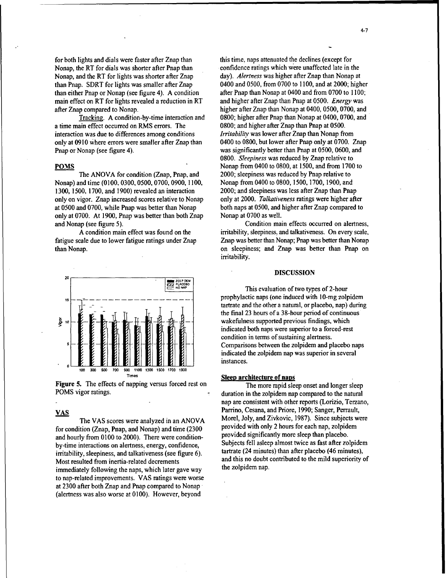for both lights and dials were faster after Znap than this time, naps attenuated the declines (except for Nonap, the RT for dials was shorter after Pnap than confidence ratings which were unaffected late in the Nonap at Nonap at Nonap at day). Alertness was higher after Znap than Nonap at Nonap, and the RT for lights was shorter after Znap than Pnap. SDRT for lights was smaller after Znap 0400 and 0500, from 0700 to 1100, and at 2000; higher than either Pnap or Nonap (see figure 4). A condition after Pnap than Nonap at 0400 and from 0700 to 1100; than either Pnap or Nonap (see figure 4). A condition main effect on RT for lights revealed a reduction in RT and higher after Znap than Pnap at 0500. *Energy* was after Znap compared to Nonap. higher after Znap than Nonap at 0400, 0500, 0700, and

a time main effect occurred on RMS errors. The 0800; and higher after Znap than Pnap at 0500. interaction was due to differences among conditions *Irritability* was lower after Znap than Nonap from only at 0910 where errors were smaller after Znap than 0400 to 0800, but lower after Pnap only at 0700. Znap Pnap or Nonap (see figure 4). was significantly better than Pnap at 0500, 0600, and

Nonap) and time (0100, 0300, 0500, 0700, 0900, 1100, Nonap from 0400 to 0800, 1500, 1700, 1900, and 1300, 1500. 1700, and 1900) revealed an interaction 2000; and sleepiness was less after Znap than Pnap only on vigor. Znap increased scores relative to Nonap only at 2000. *Talkativeness* ratings were higher after at 0500 and 0700, while Pnap was better than Nonap both naps at 0500, and higher after Znap compared to at 0500 and 0700, while Pnap was better than Nonap only at 0700. At 1900, Pnap was better than both Znap Nonap at 0700 as well. and Nonap (see figure 5). Condition main effects occurred on alertness,



Figure 5. The effects of napping versus forced rest on The more rapid sleep onset and longer sleep

for condition (Znap, Pnap, and Nonap) and time  $(2300$  provided with only 2 hours for each nap, zolpidem and hourly from 0.100 to 2000). There were condition and hourly from 0100 to 2000). There were condition-<br>hydrogen significantly more sleep than placebo.<br>Subjects fell asleep almost twice as fast after zolpidem by-time interactions on alertness, energy, confidence,<br>initially cleariness and tellestiveness (see fours 6) tartrate (24 minutes) than after placebo (46 minutes). irritability, sleepiness, and talkativeness (see figure **6).** tartrate (24 minutes) than after placebo (46 minutes), Most resulted from inertia-related decrements and this no doubt immediately following the nans, which later gave way the zolpidem nap. immediately following the naps, which later gave way to nap-related improvements. VAS ratings were worse at 2300 after both Znap and Pnap compared to Nonap (alertness was also worse at 0100). However, beyond

Tracking. A condition-by-time interaction and 0800; higher after Pnap than Nonap at 0400, 0700, and 0800. *Sleepiness* was reduced by Znap relative to POMS Nonap from 0400 to 0800, at 1500, and from 1700 to The ANOVA for condition (Znap, Pnap, and 2000; sleepiness was reduced by Pnap relative to

A condition main effect was found on the irritability, sleepiness, and talkativeness. On every scale, fatigue scale due to lower fatigue ratings under Znap Znap was better than Nonap; Pnap was better than Nonap than Nonap. on sleepiness; and Znap was better than Pnap on irritability.

This evaluation of two types of 2-hour prophylactic naps (one induced with 10-mg zolpidem tartrate and the other a natural, or placebo, nap) during the final 23 hours of a 38-hour period of continuous wakefulness supported previous findings, which indicated both naps were superior to a forced-rest condition in terms of sustaining alertness. **5-** -Comparisons between the zolpidem and placebo naps indicated the zolpidem nap was superior in several instances.

### Sleep architecture of naps

POMS vigor ratings. nap are consistent with other reports (Lorizio, Terzano, VAS<br>The VAS seems were englyined in an ANOVA Morel, Joly, and Zivkovic, 1987). Since subjects were The VAS scores were analyzed in an ANOVA Morel, Joly, and Zivkovic, 1987). Since subjects were analyzed in an ANOVA provided with only 2 hours for each nap, zolpidem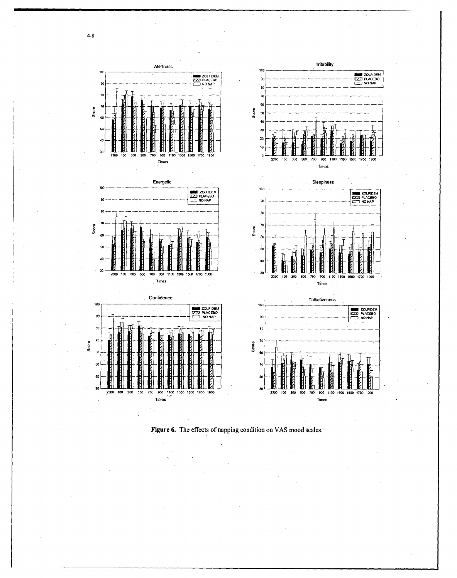



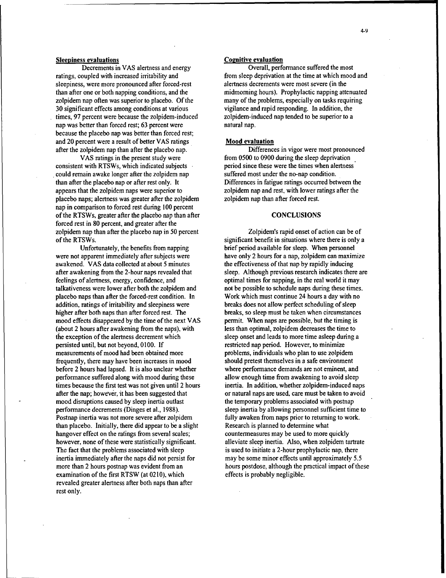sleepiness, were more pronounced after forced-rest alertness decrements were most severe (in the zolpidem nap often was superior to placebo. Of the many of the problems, especially on tasks requiring 30 significant effects among conditions at various vigilance and rapid responding. In addition, the times, 97 percent were because the zolpidem-induced zolpidem-induced nap tended to be superior to a times, 97 percent were because the zolpidem-induced nap was better than forced rest; 63 percent were natural nap. because the placebo nap was better than forced rest; and 20 percent were a result of better VAS ratings Mood evaluation after the zolpidem nap than after the placebo nap. Differences in vigor were most pronounced

consistent with RTSWs, which indicated subjects period since these were the times when alertness could remain awake longer after the zolpidem nap suffered most under the no-nap condition. than after the placebo nap or after rest only. It Differences in fatigue ratings occurred between the appears that the zolpidem naps were superior to zolpidem nap and rest, with lower ratings after the placebo naps; alertness was greater after the zolpidem zolpidem nap than after forced rest. nap in comparison to forced rest during 100 percent of the RTSWs, greater after the placebo nap than after CONCLUSIONS forced rest in 80 percent, and greater after the zolpidem nap than after the placebo nap in 50 percent Zolpidem's rapid onset of action can be of of the RTSWs. Significant benefit in situations where there is only a significant benefit in situations where there is only a

were not apparent immediately after subjects were have only 2 hours for a nap, zolpidem can maximize awakened. VAS data collected at about 5 minutes the effectiveness of that nap by rapidly inducing after awakening from the 2-hour naps revealed that sleep. Although previous research indicates there are feelings of alertness, energy, confidence, and optimal times for napping, in the real world it may talkativeness were lower after both the zolpidem and not be possible to schedule naps during these times. placebo naps than after the forced-rest condition. In Work which must continue 24 hours a day with no addition, ratings of irritability and sleepiness were breaks does not allow perfect scheduling of sleep higher after both naps than after forced rest. The breaks, so sleep must be taken when circumstances mood effects disappeared by the time of the next VAS permit. When naps are possible, but the timing is (about 2 hours after awakening from the naps), with less than optimal, zolpidem decreases the time to the exception of the alertness decrement which sleep onset and leads to more time asleep during a persisted until, but not beyond, 0100. If restricted nap period. However, to minimize measurements of mood had been obtained more problems, individuals who plan to use zolpidem frequently, there may have been increases in mood should pretest themselves in a safe environment before 2 hours had lapsed. It is also unclear whether where performance demands are not eminent, and performance suffered along with mood during these allow enough time from awakening to avoid sleep times because the first test was not given until 2 hours inertia. In addition, whether zolpidem-induced naps after the nap; however, it has been suggested that or natural naps are used, care must be taken to avoid mood disruptions caused by sleep inertia outlast the temporary problems associated with postnap performance decrements (Dinges et al., 1988). sleep inertia by allowing personnel sufficient time to Postnap inertia was not more severe after zolpidem fully awaken from naps prior to returning to work. than placebo. Initially, there did appear to be a slight Research is planned to determine what hangover effect on the ratings from several scales; countermeasures may be used to more quickly however, none of these were statistically significant. alleviate sleep inertia. Also, when zolpidem tartrate The fact that the problems associated with sleep is used to initiate a 2-hour prophylactic nap, there inertia immediately after the naps did not persist for may be some minor effects until approximately 5.5 more than 2 hours postnap was evident from an hours postdose, although the practical impact of these examination of the first RTSW (at 0210). which effects is probably negligible. revealed greater alertness after both naps than after rest only.

### Sleepiness evaluations **Sleeping Equation** Cognitive evaluation

Decrements in **VAS** alertness and energy Overall, performance suffered the most ratings, coupled with increased irritability and from sleep deprivation at the time at which mood and than after one or both napping conditions, and the midmorning hours). Prophylactic napping attenuated

VAS ratings in the present study were from 0500 to 0900 during the sleep deprivation

Unfortunately, the benefits from napping brief period available for sleep. When personnel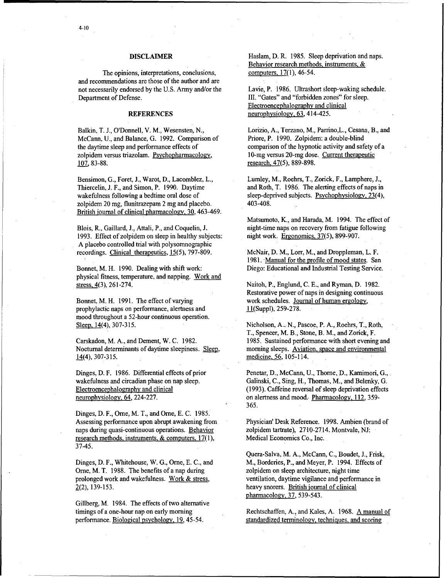The opinions, interpretations, conclusions, and recommendations are those of the author and are not necessarily endorsed by the U.S. Army and/or the Lavie, P. 1986. Ultrashort sleep-waking schedule. Department of Defense. III. "Gates" and "forbidden zones" for sleep.

Balkin, T. J., O'Donnell, V. M., Wesensten, N., Lorizio, A., Terzano, M., Parrino, L., Cesana, B., and McCann. U. and Balance. G. 1992. Comparison of Priore. P. 1990. Zolpidem: a double-blind McCann, U., and Balance, G. 1992. Comparison of the daytime sleep and performance effects of comparison of the hypnotic activity and safety of a<br>
zolpidem versus triazolam. Psychopharmacology. 10-mg versus 20-mg dose. Current therapeutic zolpidem versus triazolam. Psychopharmacology,  $107, 83-88.$  research,  $47(5)$ , 889-898.

Bensimon, **G.,** Foret, **J.,** Warot, D., Lacomblez. L., Lumley, M., Roehrs, T., Zorick, F., Lamphere, **J.,** Thiercelin, J. F., and Simon, P. 1990. Daytime and Roth, T. 1986. The alerting effects of naps in wakefulness following a bedtime oral dose of sleep-deprived subjects. Psychophysiology, 23(4), zolpidem 20 mg, flunitrazepam 2 mg and placebo. 403-408. British iournal of clinical pharmacology, 30,463-469.

1993. Effect of zolpidem on sleep in healthy subjects: night work. Ergonomics, 37(5), 899-907. A placebo controlled trial with polysomnographic recordings. Clinical therapeutics, 15(5), 797-809. McNair, D. M., Lorr, M., and Droppleman, L. F.

physical fitness, temperature, and napping. Work and stress, 4(3), 261-274. Naitoh, P., Englund, C. E., and Ryman, D. 1982.

prophylactic naps on performance, alertness and 11(Suppl), 259-278. mood throughout a 52-hour continuous operation. Sleep. 14(4), 307-315. Nicholson, **A..** N., Pascoe, P. A., Roehrs, T., Roth,

Nocturnal determinants of daytime sleepiness. Sleep, morning sleeps. Aviation, space and environmental 14(4), 307-315. medicine, 56, 105-114.

Dinges, D. F., Ome, M. T., and Orne, E. **C.** 1985. Assessing performance upon abrupt awakening from Physician' Desk Reference. 1998. Ambien (brand of naps during quasi-continuous operations. Behavior zolpidem tartrate), 2710-2714. Montvale, NJ: research methods, instruments,  $\&$  computers,  $17(1)$ , Medical Economics Co., Inc. 37-45.

Orne, M. T. 1988. The benefits of a nap during zolpidem on sleep architecture, night time prolonged work and wakefulness. Work & stress, ventilation, daytime vigilance and performance in  $2(2)$ , 139-153. heavy snorers. British journal of clinical

Gillberg, M. 1984. The effects of two alternative timings of a one-hour nap on early morning Rechtschaffen, A., and Kales, A. 1968. A manual of

DISCLAIMER Haslam, D. R. 1985. Sleep deprivation and naps. Behavior research methods, instruments, & computers, 17(1), 46-54.

Electroencephalography and clinical REFERENCES neurophysiology, 63, 414-425.

sleep-deprived subjects. Psychophysiology, 23(4),

Matsumoto, K., and Harada, M. 1994. The effect of Blois, R., Gaillard, **J.,** Attali, P., and Coquelin, J. night-time naps on recovery from fatigue following

1981. Manual for the profile of mood states. San Bonnet, M. H. 1990. Dealing with shift work: Diego: Educational and Industrial Testing Service.

Restorative power of naps in designing continuous Bonnet, M. H. 1991. The effect of varying work schedules. Journal of human ergology,

T., Spencer, M. B., Stone, B. M., and Zorick, F. Carskadon, M. A., and Dement, W. C. 1982. 1985. Sustained performance with short evening and

Dinges, D. F. 1986. Differential effects of prior Penetar, D., McCann, U., Thorne, D., Kamimori, G., wakefulness and circadian phase on nap sleep. Galinski, C., Sing, H., Thomas, M., and Belenky, G. Electroencephalography and clinical (1993). Caffeine reversal of sleep deprivation effects neurophysiology, 64, 224-227. on alertness and mood. Pharmacology, 112, 359-365.

Quera-Salva, M. A., McCann, C., Boudet, J., Frisk, Dinges, D. F., Whitehouse, W. G., Orne, E. C., and M., Borderies, P., and Meyer, P. 1994. Effects of pharmacology, 37, 539-543.

performance. Biological psychology, 19, 45-54. standardized terminology, techniques, and scoring